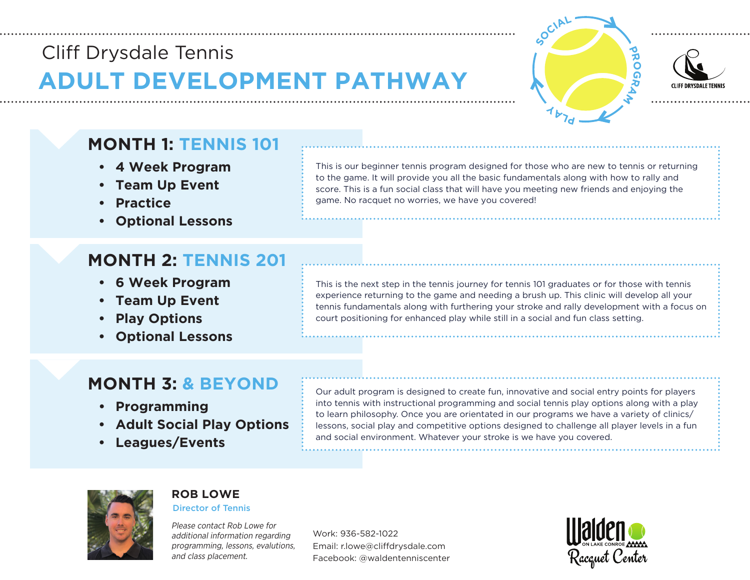# **ADULT DEVELOPMENT PATHWAY Cliff** Drysdale Tennis **Cliff** Drysdale Tennis





# **MONTH 1: TENNIS 101**

- **• 4 Week Program**
- **• Team Up Event**
- **• Practice**
- **• Optional Lessons**

# **MONTH 2: TENNIS 201**

- **• 6 Week Program**
- **• Team Up Event**
- **• Play Options**
- **• Optional Lessons**

This is our beginner tennis program designed for those who are new to tennis or returning to the game. It will provide you all the basic fundamentals along with how to rally and score. This is a fun social class that will have you meeting new friends and enjoying the game. No racquet no worries, we have you covered!

This is the next step in the tennis journey for tennis 101 graduates or for those with tennis experience returning to the game and needing a brush up. This clinic will develop all your tennis fundamentals along with furthering your stroke and rally development with a focus on court positioning for enhanced play while still in a social and fun class setting.

### **MONTH 3: & BEYOND**

- **• Programming**
- **• Adult Social Play Options**
- **• Leagues/Events**

Our adult program is designed to create fun, innovative and social entry points for players into tennis with instructional programming and social tennis play options along with a play to learn philosophy. Once you are orientated in our programs we have a variety of clinics/ lessons, social play and competitive options designed to challenge all player levels in a fun and social environment. Whatever your stroke is we have you covered.



#### **ROB LOWE**

Director of Tennis

Please contact Rob Lowe for additional information regarding programming, lessons, evalutions, and class placement.

Work: 936-582-1022 Email: r.lowe@cliffdrysdale.com Facebook: @waldentenniscenter